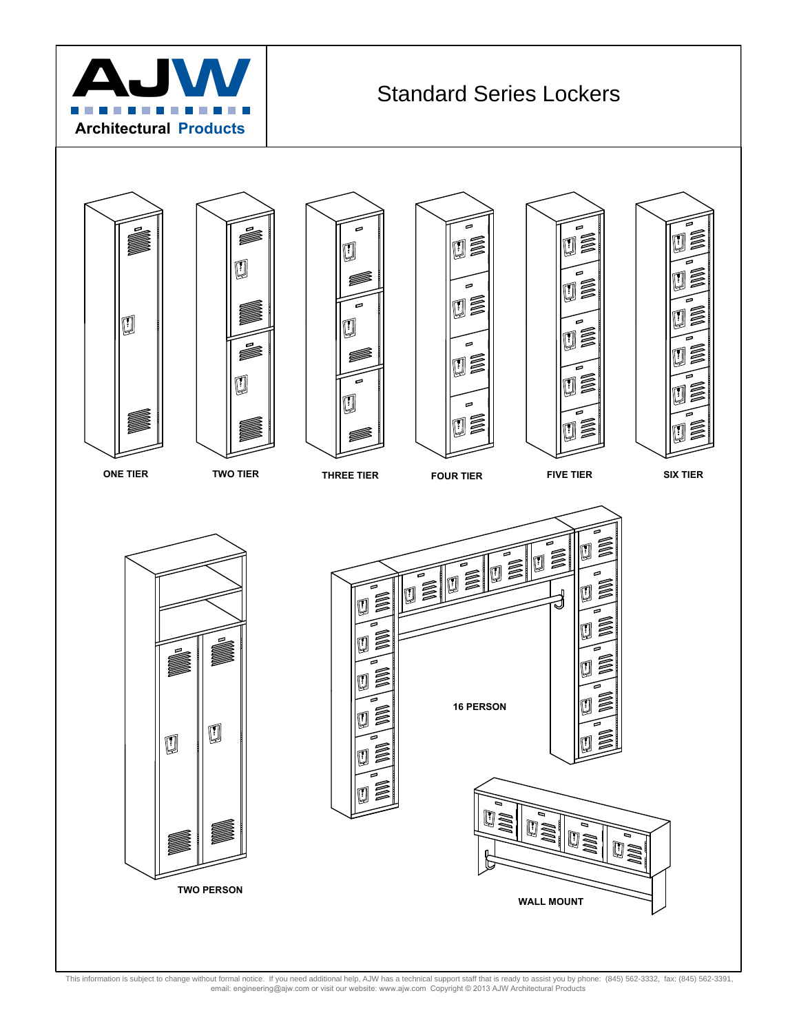



This information is subject to change without formal notice. If you need additional help, AJW has a technical support staff that is ready to assist you by phone: (845) 562-3332, fax: (845) 562-3391,<br>email: engineering@ajw.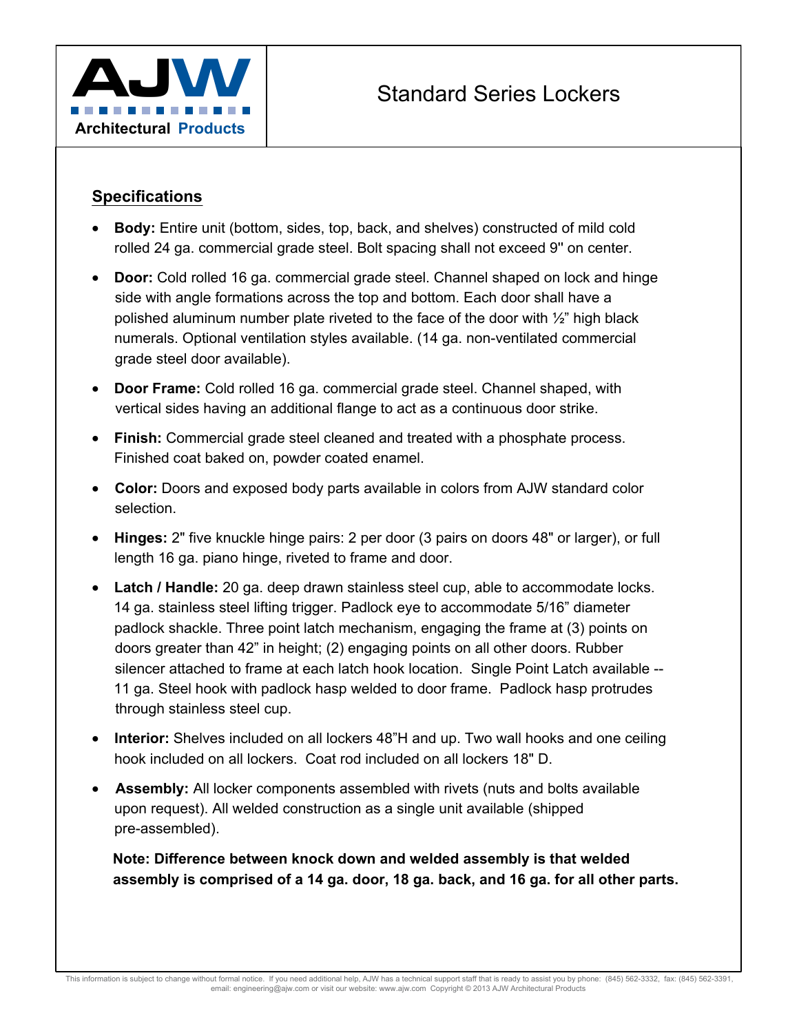

#### **Specifications**

- **Body:** Entire unit (bottom, sides, top, back, and shelves) constructed of mild cold rolled 24 ga. commercial grade steel. Bolt spacing shall not exceed 9'' on center.
- **Door:** Cold rolled 16 ga. commercial grade steel. Channel shaped on lock and hinge side with angle formations across the top and bottom. Each door shall have a polished aluminum number plate riveted to the face of the door with  $\frac{1}{2}$ " high black numerals. Optional ventilation styles available. (14 ga. non-ventilated commercial grade steel door available).
- **Door Frame:** Cold rolled 16 ga. commercial grade steel. Channel shaped, with vertical sides having an additional flange to act as a continuous door strike.
- **Finish:** Commercial grade steel cleaned and treated with a phosphate process. Finished coat baked on, powder coated enamel.
- **Color:** Doors and exposed body parts available in colors from AJW standard color selection.
- **Hinges:** 2" five knuckle hinge pairs: 2 per door (3 pairs on doors 48" or larger), or full length 16 ga. piano hinge, riveted to frame and door.
- **Latch / Handle:** 20 ga. deep drawn stainless steel cup, able to accommodate locks. 14 ga. stainless steel lifting trigger. Padlock eye to accommodate 5/16" diameter padlock shackle. Three point latch mechanism, engaging the frame at (3) points on doors greater than 42" in height; (2) engaging points on all other doors. Rubber silencer attached to frame at each latch hook location. Single Point Latch available -- 11 ga. Steel hook with padlock hasp welded to door frame. Padlock hasp protrudes through stainless steel cup.
- **Interior:** Shelves included on all lockers 48"H and up. Two wall hooks and one ceiling hook included on all lockers. Coat rod included on all lockers 18" D.
- **Assembly:** All locker components assembled with rivets (nuts and bolts available upon request). All welded construction as a single unit available (shipped pre-assembled).

**Note: Difference between knock down and welded assembly is that welded assembly is comprised of a 14 ga. door, 18 ga. back, and 16 ga. for all other parts.**

This information is subject to change without formal notice. If you need additional help, AJW has a technical support staff that is ready to assist you by phone: (845) 562-3332, fax: (845) 562-3391, email: engineering@ajw.com or visit our website: www.ajw.com Copyright © 2013 AJW Architectural Products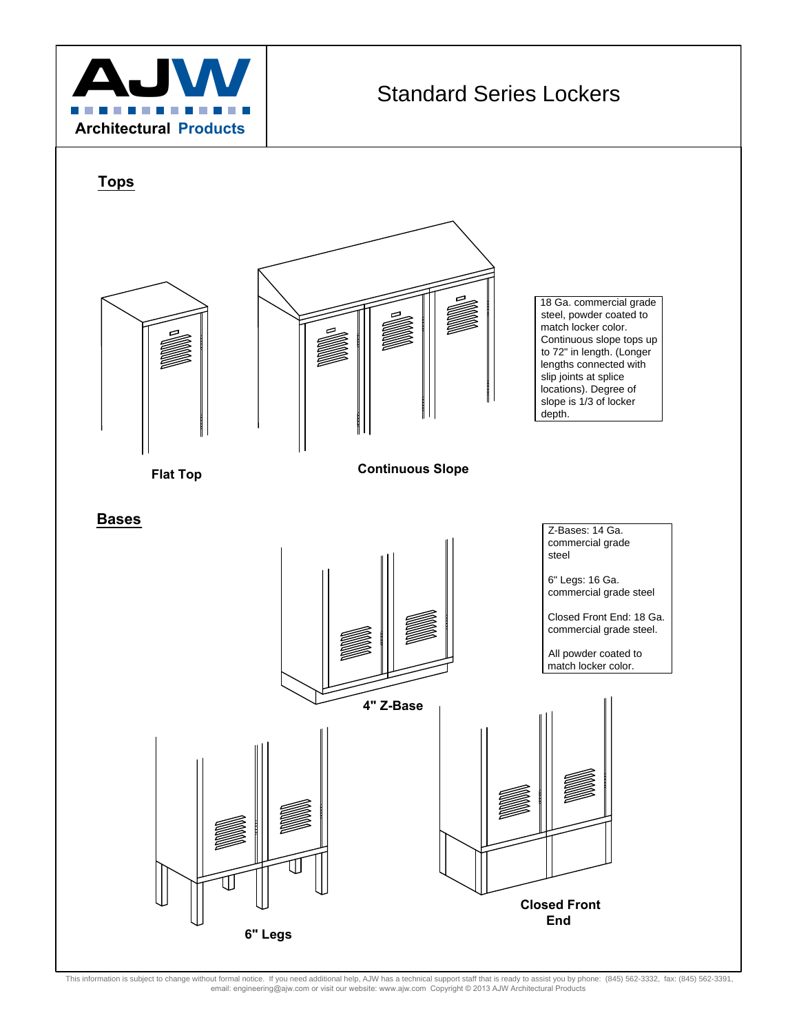



This information is subject to change without formal notice. If you need additional help, AJW has a technical support staff that is ready to assist you by phone: (845) 562-3332, fax: (845) 562-3391, HPDLOHQJLQHHULQJ#DMZFRPRUYLVLWRXUZHEVLWHZZZDMZFRP&RS\ULJKW\$-:\$UFKLWHFWXUDO3URGXFWV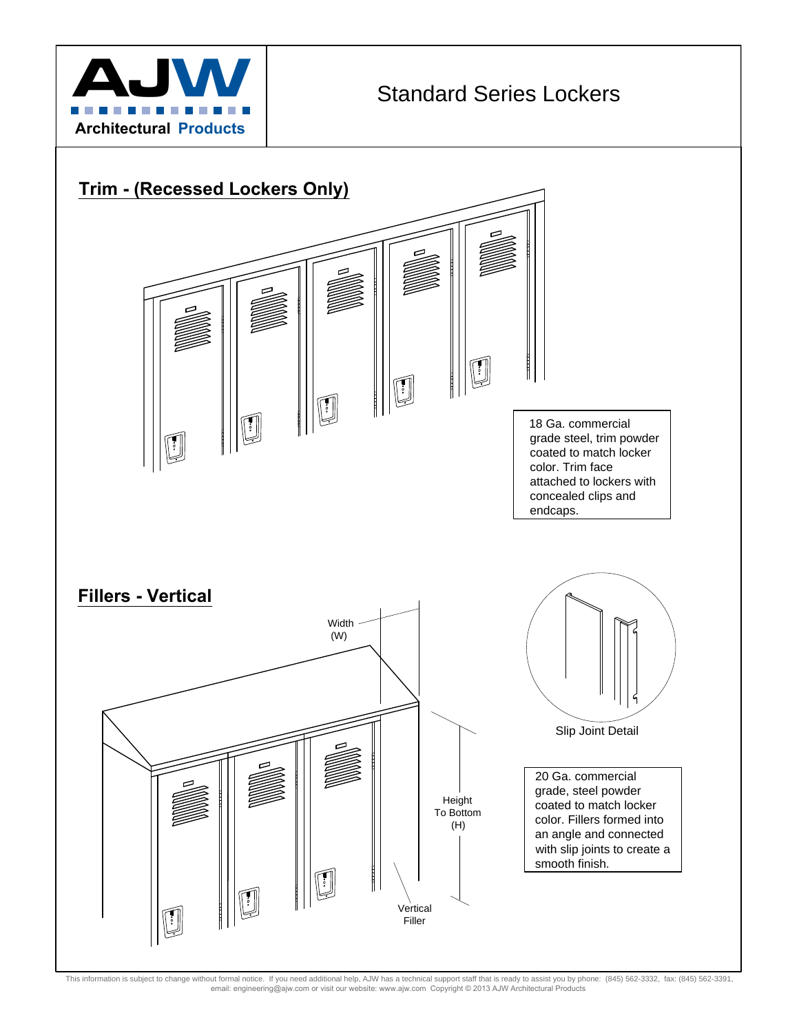



This information is subject to change without formal notice. If you need additional help, AJW has a technical support staff that is ready to assist you by phone: (845) 562-3332, fax: (845) 562-3391, HPDLOHQJLQHHULQJ#DMZFRPRUYLVLWRXUZHEVLWHZZZDMZFRP&RS\ULJKW\$-:\$UFKLWHFWXUDO3URGXFWV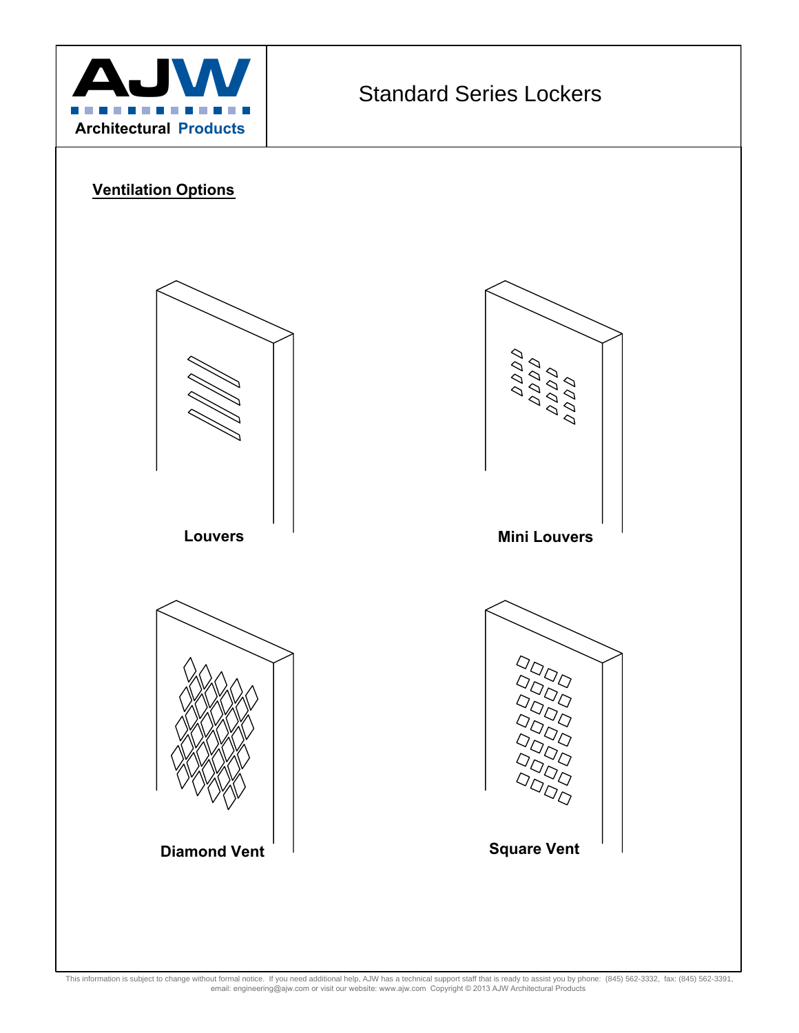

### **Ventilation Options**



This information is subject to change without formal notice. If you need additional help, AJW has a technical support staff that is ready to assist you by phone: (845) 562-3332, fax: (845) 562-3391,<br>email: engineering@ajw.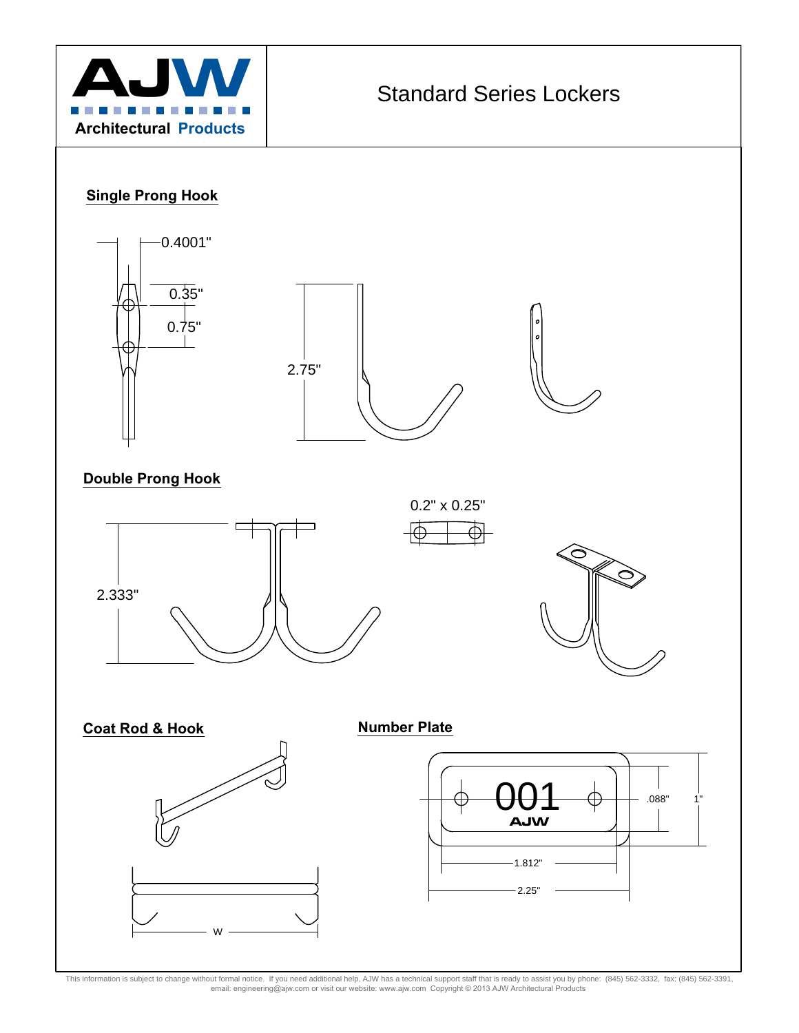

### **Single Prong Hook**







#### **Double Prong Hook**







0.2" x 0.25"





This information is subject to change without formal notice. If you need additional help, AJW has a technical support staff that is ready to assist you by phone: (845) 562-3332, fax: (845) 562-3391,<br>email: engineering@ajw.